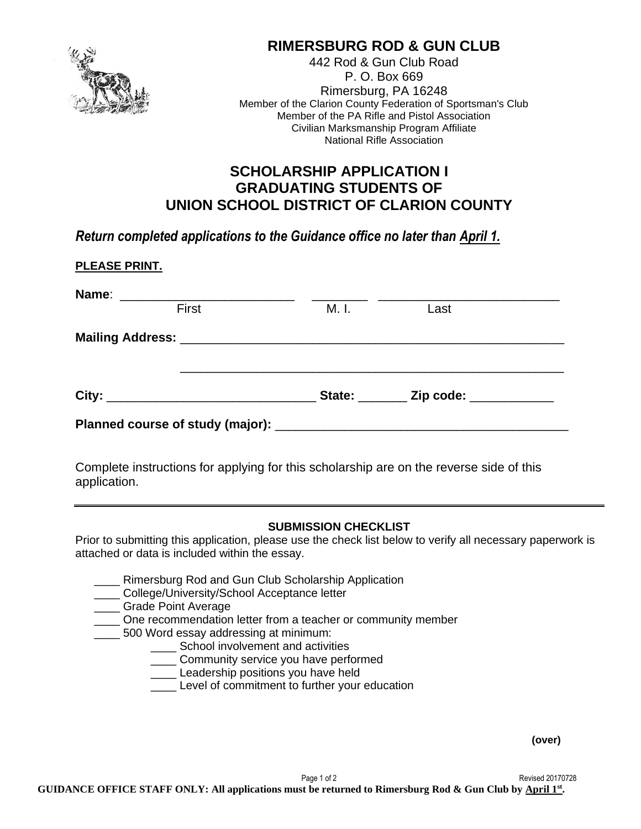

# **RIMERSBURG ROD & GUN CLUB**

442 Rod & Gun Club Road P. O. Box 669 Rimersburg, PA 16248 Member of the Clarion County Federation of Sportsman's Club Member of the PA Rifle and Pistol Association Civilian Marksmanship Program Affiliate National Rifle Association

## **SCHOLARSHIP APPLICATION I GRADUATING STUDENTS OF UNION SCHOOL DISTRICT OF CLARION COUNTY**

*Return completed applications to the Guidance office no later than April 1.*

|       |       | State: ________ Zip code: ___________ |  |
|-------|-------|---------------------------------------|--|
|       |       |                                       |  |
| First | M. I. | Last                                  |  |

Complete instructions for applying for this scholarship are on the reverse side of this application.

#### **SUBMISSION CHECKLIST**

Prior to submitting this application, please use the check list below to verify all necessary paperwork is attached or data is included within the essay.

- **\_\_\_\_ Rimersburg Rod and Gun Club Scholarship Application**
- **College/University/School Acceptance letter**
- \_\_\_\_ Grade Point Average
- \_\_\_\_ One recommendation letter from a teacher or community member
- 500 Word essay addressing at minimum:
	- \_\_\_\_ School involvement and activities
		- \_\_\_\_ Community service you have performed
		- **Leadership positions you have held**
		- Level of commitment to further your education

**(over)**